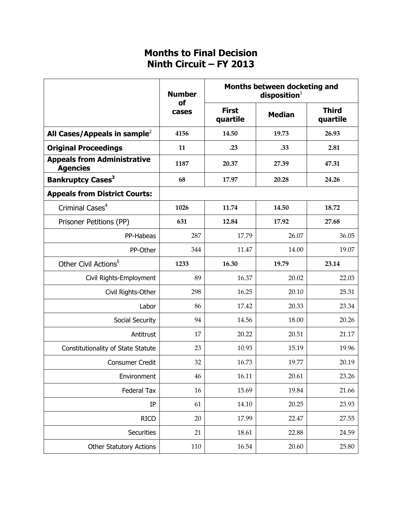## **Months to Final Decision Ninth Circuit – FY 2013**

|                                                       | <b>Number</b><br>of<br>cases | Months between docketing and<br>disposition <sup>1</sup> |               |                          |
|-------------------------------------------------------|------------------------------|----------------------------------------------------------|---------------|--------------------------|
|                                                       |                              | <b>First</b><br>quartile                                 | <b>Median</b> | <b>Third</b><br>quartile |
| All Cases/Appeals in sample <sup>2</sup>              | 4156                         | 14.50                                                    | 19.73         | 26.93                    |
| <b>Original Proceedings</b>                           | 11                           | .23                                                      | .33           | 2.81                     |
| <b>Appeals from Administrative</b><br><b>Agencies</b> | 1187                         | 20.37                                                    | 27.39         | 47.31                    |
| <b>Bankruptcy Cases<sup>3</sup></b>                   | 68                           | 17.97                                                    | 20.28         | 24.26                    |
| <b>Appeals from District Courts:</b>                  |                              |                                                          |               |                          |
| Criminal Cases <sup>4</sup>                           | 1026                         | 11.74                                                    | 14.50         | 18.72                    |
| Prisoner Petitions (PP)                               | 631                          | 12.84                                                    | 17.92         | 27.68                    |
| PP-Habeas                                             | 287                          | 17.79                                                    | 26.07         | 36.05                    |
| PP-Other                                              | 344                          | 11.47                                                    | 14.00         | 19.07                    |
| Other Civil Actions <sup>5</sup>                      | 1233                         | 16.30                                                    | 19.79         | 23.14                    |
| Civil Rights-Employment                               | 89                           | 16.37                                                    | 20.02         | 22.03                    |
| Civil Rights-Other                                    | 298                          | 16.25                                                    | 20.10         | 25.31                    |
| Labor                                                 | 86                           | 17.42                                                    | 20.33         | 23.34                    |
| Social Security                                       | 94                           | 14.56                                                    | 18.00         | 20.26                    |
| Antitrust                                             | 17                           | 20.22                                                    | 20.51         | 21.17                    |
| Constitutionality of State Statute                    | 23                           | 10.93                                                    | 15.19         | 19.96                    |
| <b>Consumer Credit</b>                                | 32                           | 16.73                                                    | 19.77         | 20.19                    |
| Environment                                           | 46                           | 16.11                                                    | 20.61         | 23.26                    |
| Federal Tax                                           | 16                           | 15.69                                                    | 19.84         | 21.66                    |
| IP                                                    | 61                           | 14.10                                                    | 20.25         | 23.93                    |
| <b>RICO</b>                                           | 20                           | 17.99                                                    | 22.47         | 27.55                    |
| Securities                                            | 21                           | 18.61                                                    | 22.88         | 24.59                    |
| <b>Other Statutory Actions</b>                        | 110                          | 16.54                                                    | 20.60         | 25.80                    |